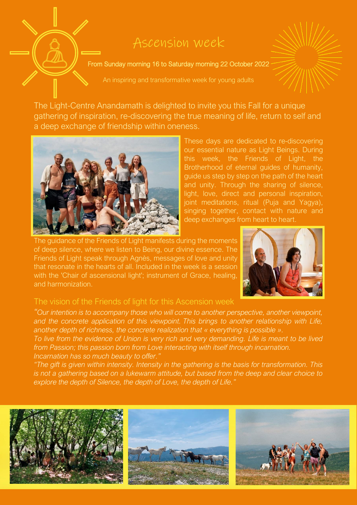## Ascension week

From Sunday morning 16 to Saturday morning 22 October 2022

An inspiring and transformative week for young adults

The Light-Centre Anandamath is delighted to invite you this Fall for a unique gathering of inspiration, re-discovering the true meaning of life, return to self and a deep exchange of friendship within oneness.



These days are dedicated to re-discovering our essential nature as Light Beings. During this week, the Friends of Light, the Brotherhood of eternal guides of humanity, guide us step by step on the path of the heart and unity. Through the sharing of silence, light, love, direct and personal inspiration, joint meditations, ritual (Puja and Yagya), singing together, contact with nature and deep exchanges from heart to heart.

The guidance of the Friends of Light manifests during the moments of deep silence, where we listen to Being, our divine essence. The Friends of Light speak through Agnès, messages of love and unity that resonate in the hearts of all. Included in the week is a session with the 'Chair of ascensional light'; instrument of Grace, healing, and harmonization.



## The vision of the Friends of light for this Ascension week

*"Our intention is to accompany those who will come to another perspective, another viewpoint, and the concrete application of this viewpoint. This brings to another relationship with Life, another depth of richness, the concrete realization that « everything is possible ».*

*To live from the evidence of Union is very rich and very demanding. Life is meant to be lived from Passion; this passion born from Love interacting with itself through incarnation. Incarnation has so much beauty to offer."*

*"The gift is given within intensity. Intensity in the gathering is the basis for transformation. This is not a gathering based on a lukewarm attitude, but based from the deep and clear choice to explore the depth of Silence, the depth of Love, the depth of Life."*